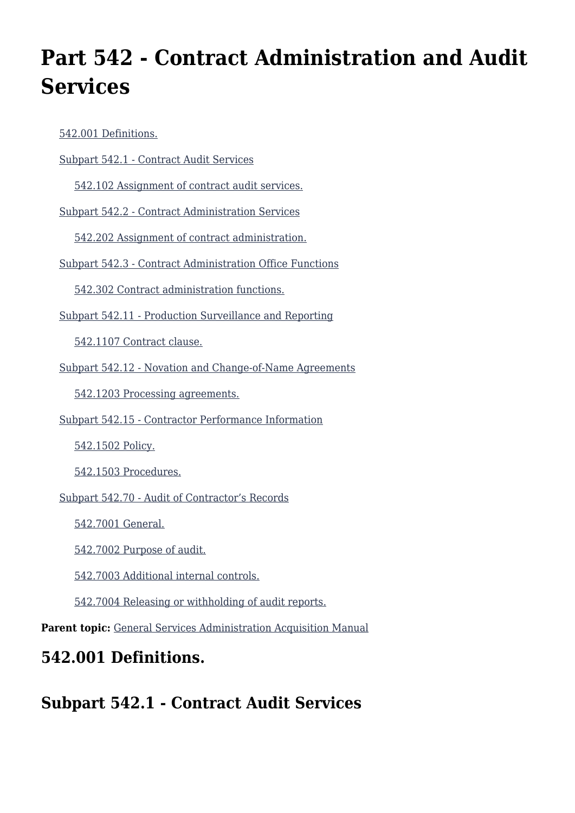# **Part 542 - Contract Administration and Audit Services**

| 542.001 Definitions.                                     |
|----------------------------------------------------------|
| Subpart 542.1 - Contract Audit Services                  |
| 542.102 Assignment of contract audit services.           |
| Subpart 542.2 - Contract Administration Services         |
| 542.202 Assignment of contract administration.           |
| Subpart 542.3 - Contract Administration Office Functions |
| 542.302 Contract administration functions.               |
| Subpart 542.11 - Production Surveillance and Reporting   |
| 542.1107 Contract clause.                                |
| Subpart 542.12 - Novation and Change-of-Name Agreements  |
| 542.1203 Processing agreements.                          |
| Subpart 542.15 - Contractor Performance Information      |
| 542.1502 Policy.                                         |
| 542.1503 Procedures.                                     |
| Subpart 542.70 - Audit of Contractor's Records           |
| 542.7001 General.                                        |
| 542.7002 Purpose of audit.                               |
| 542.7003 Additional internal controls.                   |
| 542.7004 Releasing or withholding of audit reports.      |
|                                                          |

Parent topic: [General Services Administration Acquisition Manual](https://www.acquisition.gov/content/general-services-administration-acquisition-manual-5)

# **542.001 Definitions.**

**Subpart 542.1 - Contract Audit Services**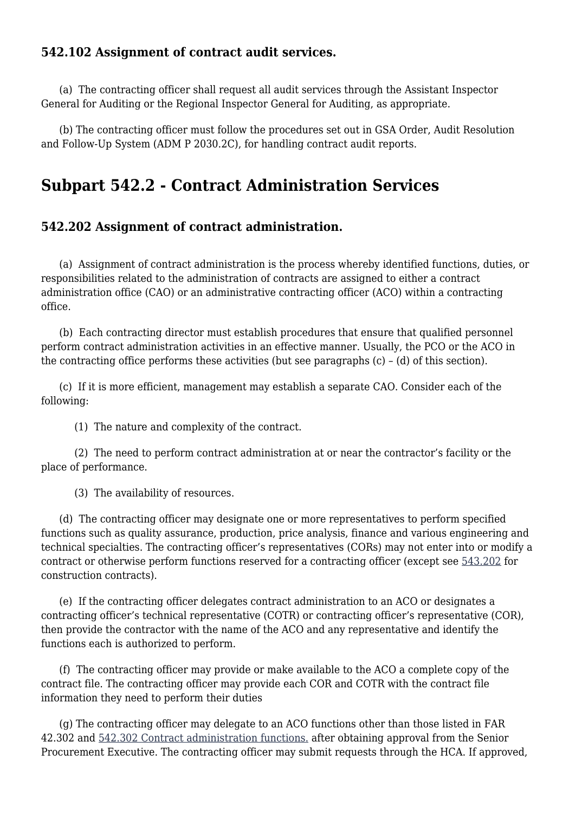#### **542.102 Assignment of contract audit services.**

 (a) The contracting officer shall request all audit services through the Assistant Inspector General for Auditing or the Regional Inspector General for Auditing, as appropriate.

 (b) The contracting officer must follow the procedures set out in GSA Order, Audit Resolution and Follow-Up System (ADM P 2030.2C), for handling contract audit reports.

# **Subpart 542.2 - Contract Administration Services**

#### **542.202 Assignment of contract administration.**

 (a) Assignment of contract administration is the process whereby identified functions, duties, or responsibilities related to the administration of contracts are assigned to either a contract administration office (CAO) or an administrative contracting officer (ACO) within a contracting office.

 (b) Each contracting director must establish procedures that ensure that qualified personnel perform contract administration activities in an effective manner. Usually, the PCO or the ACO in the contracting office performs these activities (but see paragraphs (c) – (d) of this section).

 (c) If it is more efficient, management may establish a separate CAO. Consider each of the following:

(1) The nature and complexity of the contract.

 (2) The need to perform contract administration at or near the contractor's facility or the place of performance.

(3) The availability of resources.

 (d) The contracting officer may designate one or more representatives to perform specified functions such as quality assurance, production, price analysis, finance and various engineering and technical specialties. The contracting officer's representatives (CORs) may not enter into or modify a contract or otherwise perform functions reserved for a contracting officer (except see [543.202](https://www.acquisition.gov/gsam/part-543#GSAM_543_202) for construction contracts).

 (e) If the contracting officer delegates contract administration to an ACO or designates a contracting officer's technical representative (COTR) or contracting officer's representative (COR), then provide the contractor with the name of the ACO and any representative and identify the functions each is authorized to perform.

 (f) The contracting officer may provide or make available to the ACO a complete copy of the contract file. The contracting officer may provide each COR and COTR with the contract file information they need to perform their duties

 (g) The contracting officer may delegate to an ACO functions other than those listed in FAR 42.302 and [542.302 Contract administration functions.](#page--1-0) after obtaining approval from the Senior Procurement Executive. The contracting officer may submit requests through the HCA. If approved,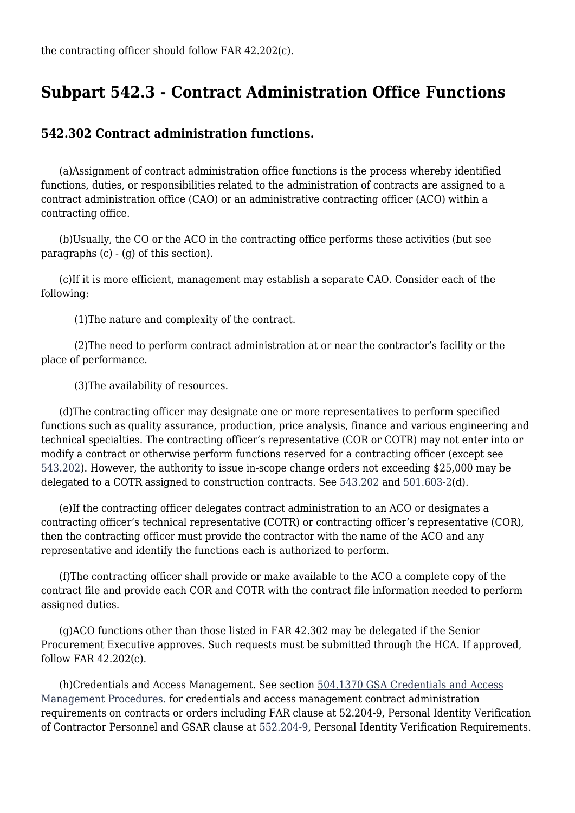### **Subpart 542.3 - Contract Administration Office Functions**

#### **542.302 Contract administration functions.**

 (a)Assignment of contract administration office functions is the process whereby identified functions, duties, or responsibilities related to the administration of contracts are assigned to a contract administration office (CAO) or an administrative contracting officer (ACO) within a contracting office.

 (b)Usually, the CO or the ACO in the contracting office performs these activities (but see paragraphs (c) - (g) of this section).

 (c)If it is more efficient, management may establish a separate CAO. Consider each of the following:

(1)The nature and complexity of the contract.

 (2)The need to perform contract administration at or near the contractor's facility or the place of performance.

(3)The availability of resources.

 (d)The contracting officer may designate one or more representatives to perform specified functions such as quality assurance, production, price analysis, finance and various engineering and technical specialties. The contracting officer's representative (COR or COTR) may not enter into or modify a contract or otherwise perform functions reserved for a contracting officer (except see [543.202](https://www.acquisition.gov/gsam/part-543#GSAM_543_202)). However, the authority to issue in-scope change orders not exceeding \$25,000 may be delegated to a COTR assigned to construction contracts. See [543.202](https://www.acquisition.gov/gsam/part-543#GSAM_543_202) and [501.603-2](https://www.acquisition.gov/gsam/part-501#GSAM_501_603_2)(d).

 (e)If the contracting officer delegates contract administration to an ACO or designates a contracting officer's technical representative (COTR) or contracting officer's representative (COR), then the contracting officer must provide the contractor with the name of the ACO and any representative and identify the functions each is authorized to perform.

 (f)The contracting officer shall provide or make available to the ACO a complete copy of the contract file and provide each COR and COTR with the contract file information needed to perform assigned duties.

 (g)ACO functions other than those listed in FAR 42.302 may be delegated if the Senior Procurement Executive approves. Such requests must be submitted through the HCA. If approved, follow FAR 42.202(c).

 (h)Credentials and Access Management. See section [504.1370 GSA Credentials and Access](https://www.acquisition.gov/gsam/part-504#GSAM_504_1370) [Management Procedures.](https://www.acquisition.gov/gsam/part-504#GSAM_504_1370) for credentials and access management contract administration requirements on contracts or orders including FAR clause at 52.204-9, Personal Identity Verification of Contractor Personnel and GSAR clause at [552.204-9](https://www.acquisition.gov/gsam/part-552#GSAM_552_204_9), Personal Identity Verification Requirements.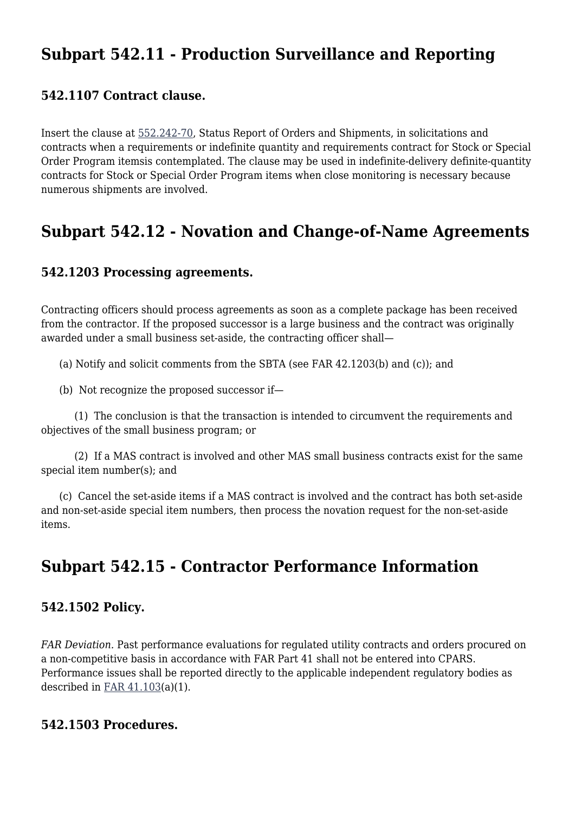# **Subpart 542.11 - Production Surveillance and Reporting**

#### **542.1107 Contract clause.**

Insert the clause at [552.242-70,](https://www.acquisition.gov/gsam/part-552#GSAM_552_242_70) Status Report of Orders and Shipments, in solicitations and contracts when a requirements or indefinite quantity and requirements contract for Stock or Special Order Program itemsis contemplated. The clause may be used in indefinite-delivery definite-quantity contracts for Stock or Special Order Program items when close monitoring is necessary because numerous shipments are involved.

### **Subpart 542.12 - Novation and Change-of-Name Agreements**

#### **542.1203 Processing agreements.**

Contracting officers should process agreements as soon as a complete package has been received from the contractor. If the proposed successor is a large business and the contract was originally awarded under a small business set-aside, the contracting officer shall—

(a) Notify and solicit comments from the SBTA (see FAR 42.1203(b) and (c)); and

(b) Not recognize the proposed successor if—

 (1) The conclusion is that the transaction is intended to circumvent the requirements and objectives of the small business program; or

 (2) If a MAS contract is involved and other MAS small business contracts exist for the same special item number(s); and

 (c) Cancel the set-aside items if a MAS contract is involved and the contract has both set-aside and non-set-aside special item numbers, then process the novation request for the non-set-aside items.

# **Subpart 542.15 - Contractor Performance Information**

#### **542.1502 Policy.**

*FAR Deviation.* Past performance evaluations for regulated utility contracts and orders procured on a non-competitive basis in accordance with FAR Part 41 shall not be entered into CPARS. Performance issues shall be reported directly to the applicable independent regulatory bodies as described in [FAR 41.103\(](https://www.acquisition.gov/far/41.103)a)(1).

#### **542.1503 Procedures.**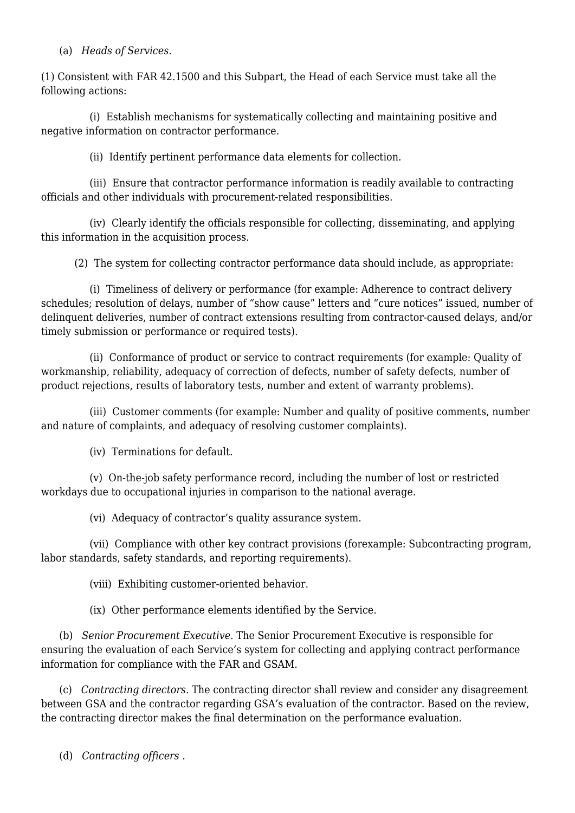#### (a) *Heads of Services*.

(1) Consistent with FAR 42.1500 and this Subpart, the Head of each Service must take all the following actions:

 (i) Establish mechanisms for systematically collecting and maintaining positive and negative information on contractor performance.

(ii) Identify pertinent performance data elements for collection.

 (iii) Ensure that contractor performance information is readily available to contracting officials and other individuals with procurement-related responsibilities.

 (iv) Clearly identify the officials responsible for collecting, disseminating, and applying this information in the acquisition process.

(2) The system for collecting contractor performance data should include, as appropriate:

 (i) Timeliness of delivery or performance (for example: Adherence to contract delivery schedules; resolution of delays, number of "show cause" letters and "cure notices" issued, number of delinquent deliveries, number of contract extensions resulting from contractor-caused delays, and/or timely submission or performance or required tests).

 (ii) Conformance of product or service to contract requirements (for example: Quality of workmanship, reliability, adequacy of correction of defects, number of safety defects, number of product rejections, results of laboratory tests, number and extent of warranty problems).

 (iii) Customer comments (for example: Number and quality of positive comments, number and nature of complaints, and adequacy of resolving customer complaints).

(iv) Terminations for default.

 (v) On-the-job safety performance record, including the number of lost or restricted workdays due to occupational injuries in comparison to the national average.

(vi) Adequacy of contractor's quality assurance system.

 (vii) Compliance with other key contract provisions (forexample: Subcontracting program, labor standards, safety standards, and reporting requirements).

(viii) Exhibiting customer-oriented behavior.

(ix) Other performance elements identified by the Service.

 (b) *Senior Procurement Executive*. The Senior Procurement Executive is responsible for ensuring the evaluation of each Service's system for collecting and applying contract performance information for compliance with the FAR and GSAM.

 (c) *Contracting directors*. The contracting director shall review and consider any disagreement between GSA and the contractor regarding GSA's evaluation of the contractor. Based on the review, the contracting director makes the final determination on the performance evaluation.

(d) *Contracting officers .*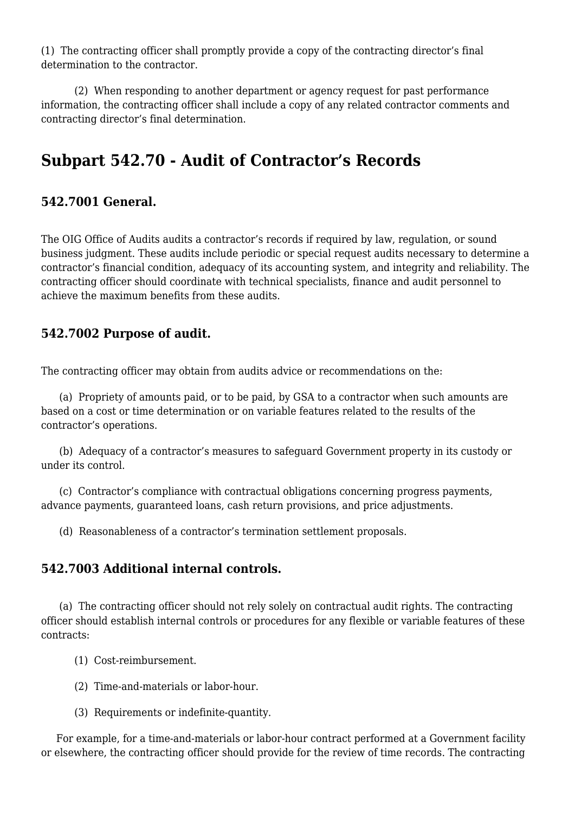(1) The contracting officer shall promptly provide a copy of the contracting director's final determination to the contractor.

 (2) When responding to another department or agency request for past performance information, the contracting officer shall include a copy of any related contractor comments and contracting director's final determination.

# **Subpart 542.70 - Audit of Contractor's Records**

#### **542.7001 General.**

The OIG Office of Audits audits a contractor's records if required by law, regulation, or sound business judgment. These audits include periodic or special request audits necessary to determine a contractor's financial condition, adequacy of its accounting system, and integrity and reliability. The contracting officer should coordinate with technical specialists, finance and audit personnel to achieve the maximum benefits from these audits.

#### **542.7002 Purpose of audit.**

The contracting officer may obtain from audits advice or recommendations on the:

 (a) Propriety of amounts paid, or to be paid, by GSA to a contractor when such amounts are based on a cost or time determination or on variable features related to the results of the contractor's operations.

 (b) Adequacy of a contractor's measures to safeguard Government property in its custody or under its control.

 (c) Contractor's compliance with contractual obligations concerning progress payments, advance payments, guaranteed loans, cash return provisions, and price adjustments.

(d) Reasonableness of a contractor's termination settlement proposals.

#### **542.7003 Additional internal controls.**

 (a) The contracting officer should not rely solely on contractual audit rights. The contracting officer should establish internal controls or procedures for any flexible or variable features of these contracts:

- (1) Cost-reimbursement.
- (2) Time-and-materials or labor-hour.
- (3) Requirements or indefinite-quantity.

 For example, for a time-and-materials or labor-hour contract performed at a Government facility or elsewhere, the contracting officer should provide for the review of time records. The contracting